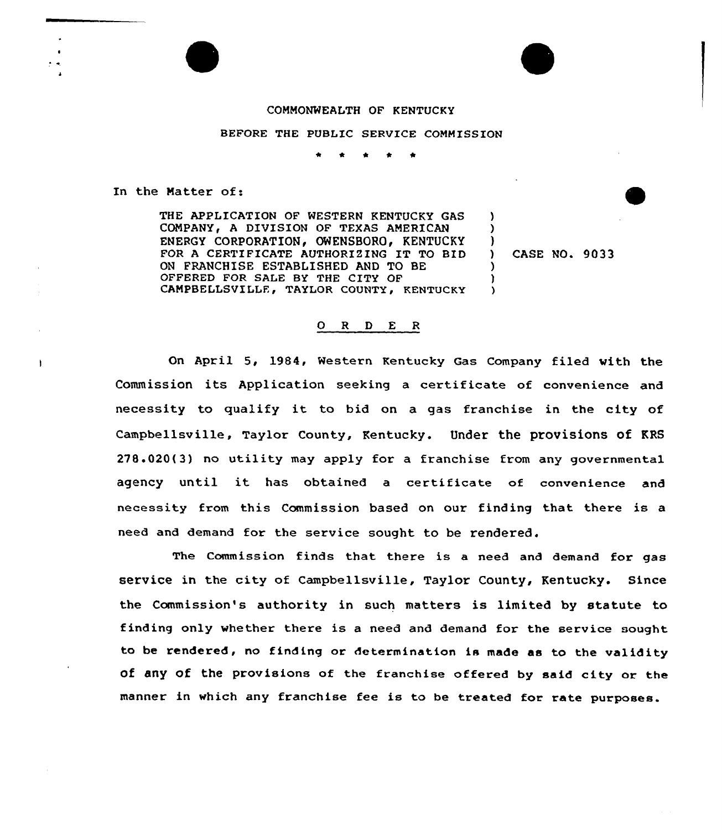## COMMONWEALTH OF KENTUCKY

## BEFORE THE PUBLIC SERVICE COMMISSION

\* <sup>4</sup> \* \*

In the Matter of:

ł.

THE APPLICATION OF WESTERN KENTUCKY GAS COMPANY, A DIVISION OF TEXAS AMERICAN ENERGY CORPORATION, OWENSBORO, KENTUCKY FOR <sup>A</sup> CERTIFICATE AUTHORIZING IT TO BID ON FRANCHISE ESTABLISHED AND TO BE OFFERED FOR SALE BY THE CITY OF CAMPBELLSVILLE, TAYLOR COUNTY, KENTUCKY

) CASE NO- 9033

) )  $\frac{1}{1}$ 

) ) )

## $O$  R  $D$  E R

On April 5, 1984, Western Kentucky Gas Company filed with the Commission its Application seeking a certificate of convenience and necessity to qualify it to bid on <sup>a</sup> gas franchise in the city of Campbellsville, Taylor County, Kentucky. Under the provisions of KRS 278.020(3) no utility may apply for a franchise from any governmental agency until it has obtained <sup>a</sup> certificate of convenience and necessity from this Commission based on our finding that there is a need and demand for the service sought to be rendered.

The Commission finds that there is a need and demand for gas service in the city of Campbellsville, Taylor County, Kentucky. Since the Commission's authority in such matters is limited by statute to finding only whether there is a need and demand for the service sought to be rendered, no finding or determination is made as to the validity of any of the provisions of the franchise offered by said city or the manner in which any franchise fee is to be treated for rate purposes.